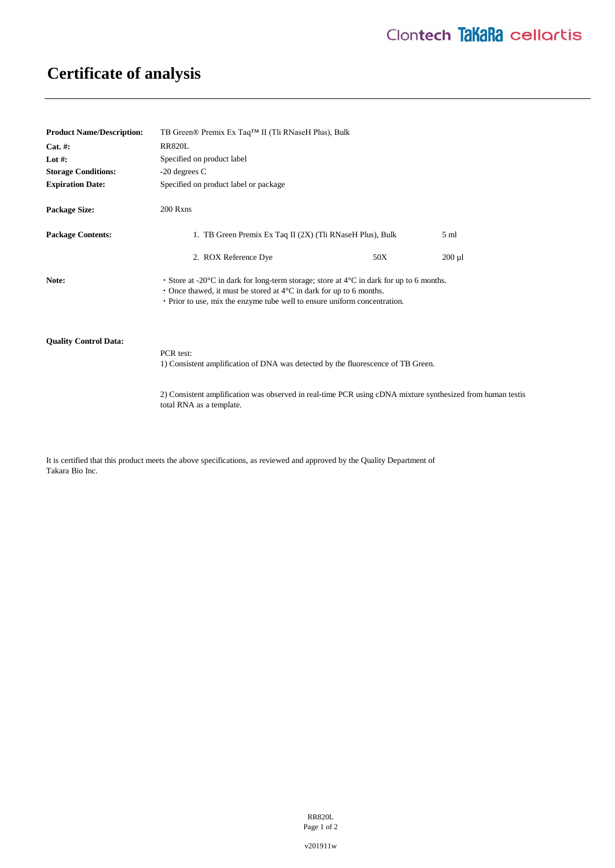## **Certificate of analysis**

| <b>Product Name/Description:</b> | TB Green® Premix Ex Taq™ II (Tli RNaseH Plus), Bulk                                                                                                                                                                                                                       |     |                |
|----------------------------------|---------------------------------------------------------------------------------------------------------------------------------------------------------------------------------------------------------------------------------------------------------------------------|-----|----------------|
| $Cat. \#:$                       | <b>RR820L</b>                                                                                                                                                                                                                                                             |     |                |
| Lot #:                           | Specified on product label                                                                                                                                                                                                                                                |     |                |
| <b>Storage Conditions:</b>       | $-20$ degrees C                                                                                                                                                                                                                                                           |     |                |
| <b>Expiration Date:</b>          | Specified on product label or package                                                                                                                                                                                                                                     |     |                |
| <b>Package Size:</b>             | 200 Rxns                                                                                                                                                                                                                                                                  |     |                |
| <b>Package Contents:</b>         | 1. TB Green Premix Ex Taq II (2X) (Tli RNaseH Plus), Bulk                                                                                                                                                                                                                 |     | $5 \text{ ml}$ |
|                                  | 2. ROX Reference Dye                                                                                                                                                                                                                                                      | 50X | $200 \mu l$    |
| Note:                            | • Store at -20 $\degree$ C in dark for long-term storage; store at $4\degree$ C in dark for up to 6 months.<br>• Once thawed, it must be stored at $4^{\circ}$ C in dark for up to 6 months.<br>• Prior to use, mix the enzyme tube well to ensure uniform concentration. |     |                |
| <b>Ouality Control Data:</b>     | PCR test:<br>1) Consistent amplification of DNA was detected by the fluorescence of TB Green.                                                                                                                                                                             |     |                |

2) Consistent amplification was observed in real-time PCR using cDNA mixture synthesized from human testis total RNA as a template.

It is certified that this product meets the above specifications, as reviewed and approved by the Quality Department of Takara Bio Inc.

> RR820L Page 1 of 2

v201911w